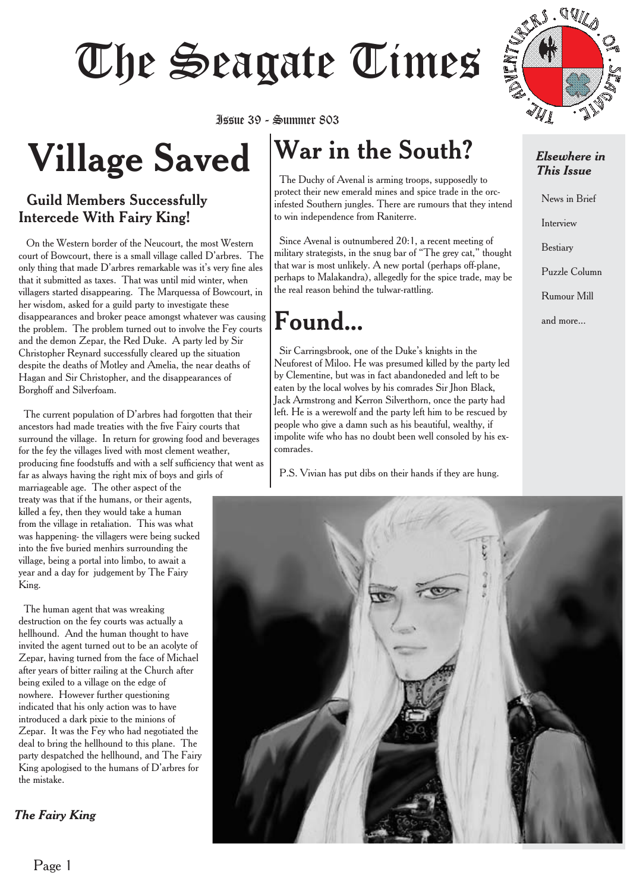# Issue 39 - Summer 803

**Village Saved** Issue 39 - Summer 803

### Guild Members Successfully Intercede With Fairy King!

On the Western border of the Neucourt, the most Western court of Bowcourt, there is a small village called D'arbres. The only thing that made D'arbres remarkable was it's very fine ales that it submitted as taxes. That was until mid winter, when villagers started disappearing. The Marquessa of Bowcourt, in her wisdom, asked for a guild party to investigate these disappearances and broker peace amongst whatever was causing the problem. The problem turned out to involve the Fey courts and the demon Zepar, the Red Duke. A party led by Sir Christopher Reynard successfully cleared up the situation despite the deaths of Motley and Amelia, the near deaths of Hagan and Sir Christopher, and the disappearances of Borghoff and Silverfoam.

The current population of D'arbres had forgotten that their ancestors had made treaties with the five Fairy courts that surround the village. In return for growing food and beverages for the fey the villages lived with most clement weather, producing fine foodstuffs and with a self sufficiency that went as far as always having the right mix of boys and girls of

marriageable age. The other aspect of the treaty was that if the humans, or their agents, killed a fey, then they would take a human from the village in retaliation. This was what was happening- the villagers were being sucked into the five buried menhirs surrounding the village, being a portal into limbo, to await a year and a day for judgement by The Fairy King.

The human agent that was wreaking destruction on the fey courts was actually a hellhound. And the human thought to have invited the agent turned out to be an acolyte of Zepar, having turned from the face of Michael after years of bitter railing at the Church after being exiled to a village on the edge of nowhere. However further questioning indicated that his only action was to have introduced a dark pixie to the minions of Zepar. It was the Fey who had negotiated the deal to bring the hellhound to this plane. The party despatched the hellhound, and The Fairy King apologised to the humans of D'arbres for the mistake.

*The Fairy King*

### **War in the South?**

The Duchy of Avenal is arming troops, supposedly to protect their new emerald mines and spice trade in the orcinfested Southern jungles. There are rumours that they intend to win independence from Raniterre.

Since Avenal is outnumbered 20:1, a recent meeting of military strategists, in the snug bar of "The grey cat," thought that war is most unlikely. A new portal (perhaps off-plane, perhaps to Malakandra), allegedly for the spice trade, may be the real reason behind the tulwar-rattling.

### **Found...**

Sir Carringsbrook, one of the Duke's knights in the Neuforest of Miloo. He was presumed killed by the party led by Clementine, but was in fact abandoneded and left to be eaten by the local wolves by his comrades Sir Jhon Black, Jack Armstrong and Kerron Silverthorn, once the party had left. He is a werewolf and the party left him to be rescued by people who give a damn such as his beautiful, wealthy, if impolite wife who has no doubt been well consoled by his excomrades.

P.S. Vivian has put dibs on their hands if they are hung.



### *Elsewhere in This Issue*

News in Brief Interview Bestiary Puzzle Column Rumour Mill and more...

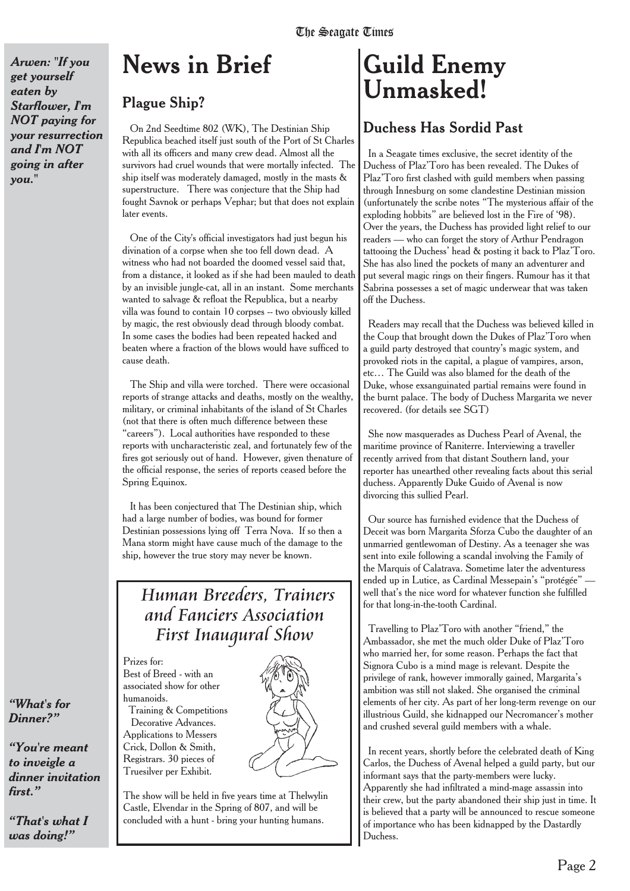*Arwen: "If you get yourself eaten by Starflower, I'm NOT paying for your resurrection and I'm NOT going in after you."*

### **News in Brief**

### **Plague Ship?**

On 2nd Seedtime 802 (WK), The Destinian Ship Republica beached itself just south of the Port of St Charles with all its officers and many crew dead. Almost all the survivors had cruel wounds that were mortally infected. The ship itself was moderately damaged, mostly in the masts & superstructure. There was conjecture that the Ship had fought Savnok or perhaps Vephar; but that does not explain later events.

One of the City's official investigators had just begun his divination of a corpse when she too fell down dead. A witness who had not boarded the doomed vessel said that, from a distance, it looked as if she had been mauled to death by an invisible jungle-cat, all in an instant. Some merchants wanted to salvage & refloat the Republica, but a nearby villa was found to contain 10 corpses -- two obviously killed by magic, the rest obviously dead through bloody combat. In some cases the bodies had been repeated hacked and beaten where a fraction of the blows would have sufficed to cause death.

The Ship and villa were torched. There were occasional reports of strange attacks and deaths, mostly on the wealthy, military, or criminal inhabitants of the island of St Charles (not that there is often much difference between these "careers"). Local authorities have responded to these reports with uncharacteristic zeal, and fortunately few of the fires got seriously out of hand. However, given thenature of the official response, the series of reports ceased before the Spring Equinox.

It has been conjectured that The Destinian ship, which had a large number of bodies, was bound for former Destinian possessions lying off Terra Nova. If so then a Mana storm might have cause much of the damage to the ship, however the true story may never be known.

### *Human Breeders, Trainers and Fanciers Association First Inaugural Show*

Prizes for: Best of Breed - with an associated show for other humanoids. Training & Competitions Decorative Advances. Applications to Messers Crick, Dollon & Smith, Registrars. 30 pieces of Truesilver per Exhibit.

The show will be held in five years time at Thelwylin Castle, Elvendar in the Spring of 807, and will be concluded with a hunt - bring your hunting humans.

### **Guild Enemy Unmasked!**

### Duchess Has Sordid Past

In a Seagate times exclusive, the secret identity of the Duchess of Plaz'Toro has been revealed. The Dukes of Plaz'Toro first clashed with guild members when passing through Innesburg on some clandestine Destinian mission (unfortunately the scribe notes "The mysterious affair of the exploding hobbits" are believed lost in the Fire of '98). Over the years, the Duchess has provided light relief to our readers — who can forget the story of Arthur Pendragon tattooing the Duchess' head & posting it back to Plaz'Toro. She has also lined the pockets of many an adventurer and put several magic rings on their fingers. Rumour has it that Sabrina possesses a set of magic underwear that was taken off the Duchess.

Readers may recall that the Duchess was believed killed in the Coup that brought down the Dukes of Plaz'Toro when a guild party destroyed that country's magic system, and provoked riots in the capital, a plague of vampires, arson, etc… The Guild was also blamed for the death of the Duke, whose exsanguinated partial remains were found in the burnt palace. The body of Duchess Margarita we never recovered. (for details see SGT)

She now masquerades as Duchess Pearl of Avenal, the maritime province of Raniterre. Interviewing a traveller recently arrived from that distant Southern land, your reporter has unearthed other revealing facts about this serial duchess. Apparently Duke Guido of Avenal is now divorcing this sullied Pearl.

Our source has furnished evidence that the Duchess of Deceit was born Margarita Sforza Cubo the daughter of an unmarried gentlewoman of Destiny. As a teenager she was sent into exile following a scandal involving the Family of the Marquis of Calatrava. Sometime later the adventuress ended up in Lutice, as Cardinal Messepain's "protégée" well that's the nice word for whatever function she fulfilled for that long-in-the-tooth Cardinal.

Travelling to Plaz'Toro with another "friend," the Ambassador, she met the much older Duke of Plaz'Toro who married her, for some reason. Perhaps the fact that Signora Cubo is a mind mage is relevant. Despite the privilege of rank, however immorally gained, Margarita's ambition was still not slaked. She organised the criminal elements of her city. As part of her long-term revenge on our illustrious Guild, she kidnapped our Necromancer's mother and crushed several guild members with a whale.

In recent years, shortly before the celebrated death of King Carlos, the Duchess of Avenal helped a guild party, but our informant says that the party-members were lucky. Apparently she had infiltrated a mind-mage assassin into their crew, but the party abandoned their ship just in time. It is believed that a party will be announced to rescue someone of importance who has been kidnapped by the Dastardly Duchess.

### *"What's for Dinner?"*

*"You're meant to inveigle a dinner invitation first."*

*"That's what I was doing!"*

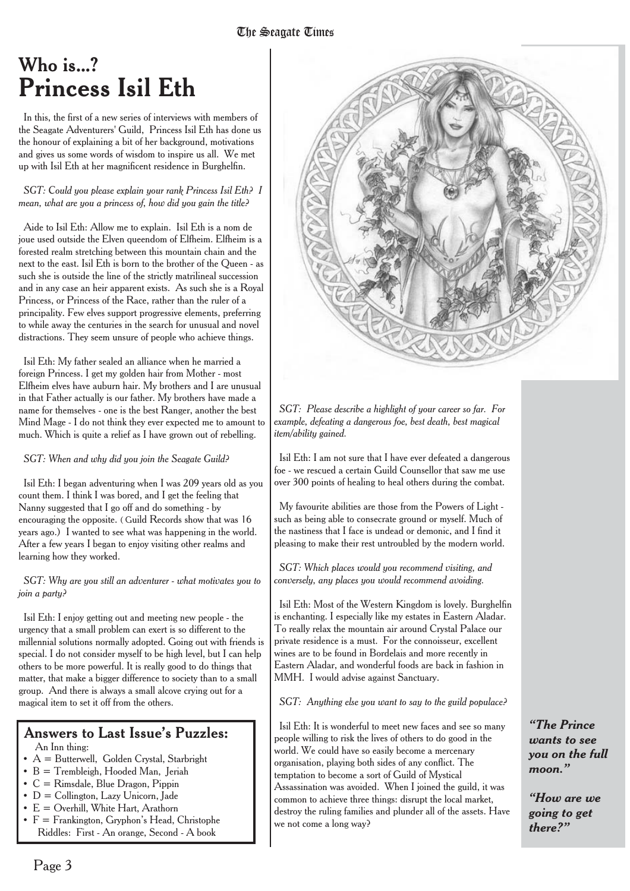### Who is...? **Princess Isil Eth**

In this, the first of a new series of interviews with members of the Seagate Adventurers' Guild, Princess Isil Eth has done us the honour of explaining a bit of her background, motivations and gives us some words of wisdom to inspire us all. We met up with Isil Eth at her magnificent residence in Burghelfin.

#### *SGT: Could you please explain your rank Princess Isil Eth? I mean, what are you a princess of, how did you gain the title?*

Aide to Isil Eth: Allow me to explain. Isil Eth is a nom de joue used outside the Elven queendom of Elfheim. Elfheim is a forested realm stretching between this mountain chain and the next to the east. Isil Eth is born to the brother of the Queen - as such she is outside the line of the strictly matrilineal succession and in any case an heir apparent exists. As such she is a Royal Princess, or Princess of the Race, rather than the ruler of a principality. Few elves support progressive elements, preferring to while away the centuries in the search for unusual and novel distractions. They seem unsure of people who achieve things.

Isil Eth: My father sealed an alliance when he married a foreign Princess. I get my golden hair from Mother - most Elfheim elves have auburn hair. My brothers and I are unusual in that Father actually is our father. My brothers have made a name for themselves - one is the best Ranger, another the best Mind Mage - I do not think they ever expected me to amount to much. Which is quite a relief as I have grown out of rebelling.

*SGT: When and why did you join the Seagate Guild?*

Isil Eth: I began adventuring when I was 209 years old as you count them. I think I was bored, and I get the feeling that Nanny suggested that I go off and do something - by encouraging the opposite. ( Guild Records show that was 16 years ago.) I wanted to see what was happening in the world. After a few years I began to enjoy visiting other realms and learning how they worked.

#### *SGT: Why are you still an adventurer - what motivates you to join a party?*

Isil Eth: I enjoy getting out and meeting new people - the urgency that a small problem can exert is so different to the millennial solutions normally adopted. Going out with friends is special. I do not consider myself to be high level, but I can help others to be more powerful. It is really good to do things that matter, that make a bigger difference to society than to a small group. And there is always a small alcove crying out for a magical item to set it off from the others.

#### Answers to Last Issue's Puzzles: An Inn thing:

- $\bullet$  A = Butterwell, Golden Crystal, Starbright
- B = Trembleigh, Hooded Man, Jeriah
- C = Rimsdale, Blue Dragon, Pippin
- $\bullet$  D = Collington, Lazy Unicorn, Jade
- $E =$  Overhill, White Hart, Arathorn
- F = Frankington, Gryphon's Head, Christophe Riddles: First - An orange, Second - A book



*SGT: Please describe a highlight of your career so far. For example, defeating a dangerous foe, best death, best magical item/ability gained.*

Isil Eth: I am not sure that I have ever defeated a dangerous foe - we rescued a certain Guild Counsellor that saw me use over 300 points of healing to heal others during the combat.

My favourite abilities are those from the Powers of Light such as being able to consecrate ground or myself. Much of the nastiness that I face is undead or demonic, and I find it pleasing to make their rest untroubled by the modern world.

*SGT: Which places would you recommend visiting, and conversely, any places you would recommend avoiding.*

Isil Eth: Most of the Western Kingdom is lovely. Burghelfin is enchanting. I especially like my estates in Eastern Aladar. To really relax the mountain air around Crystal Palace our private residence is a must. For the connoisseur, excellent wines are to be found in Bordelais and more recently in Eastern Aladar, and wonderful foods are back in fashion in MMH. I would advise against Sanctuary.

*SGT: Anything else you want to say to the guild populace?*

Isil Eth: It is wonderful to meet new faces and see so many people willing to risk the lives of others to do good in the world. We could have so easily become a mercenary organisation, playing both sides of any conflict. The temptation to become a sort of Guild of Mystical Assassination was avoided. When I joined the guild, it was common to achieve three things: disrupt the local market, destroy the ruling families and plunder all of the assets. Have we not come a long way?

*"The Prince wants to see you on the full moon."*

*"How are we going to get there?"*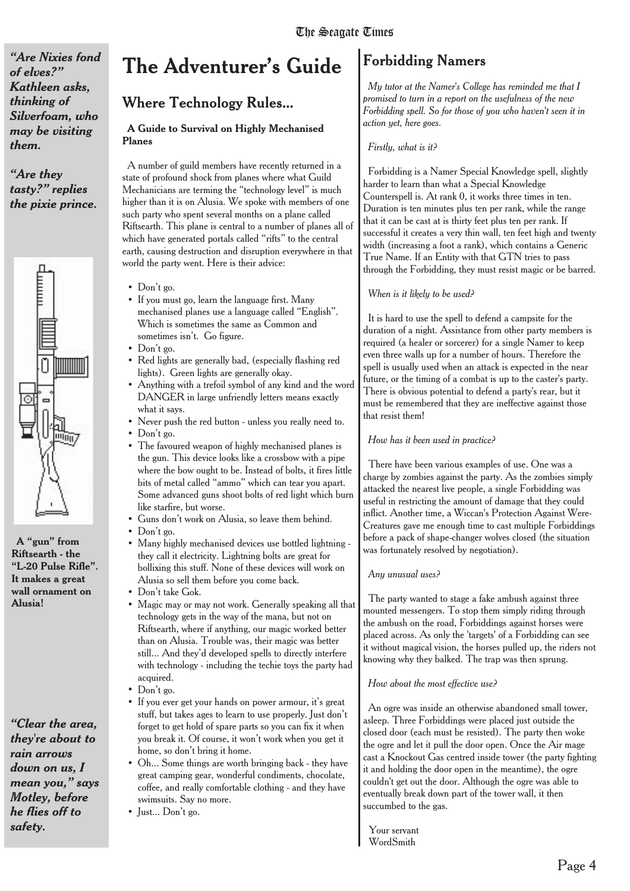*"Are Nixies fond of elves?" Kathleen asks, thinking of Silverfoam, who may be visiting them.*

*"Are they tasty?" replies the pixie prince.*



**A "gun" from Riftsearth - the "L-20 Pulse Rifle". It makes a great wall ornament on Alusia!**

*"Clear the area, they're about to rain arrows down on us, I mean you," says Motley, before he flies off to safety.*

### **The Adventurer's Guide**

### **Where Technology Rules...**

#### **A Guide to Survival on Highly Mechanised Planes**

A number of guild members have recently returned in a state of profound shock from planes where what Guild Mechanicians are terming the "technology level" is much higher than it is on Alusia. We spoke with members of one such party who spent several months on a plane called Riftsearth. This plane is central to a number of planes all of which have generated portals called "rifts" to the central earth, causing destruction and disruption everywhere in that world the party went. Here is their advice:

- Don't go.
- If you must go, learn the language first. Many mechanised planes use a language called "English". Which is sometimes the same as Common and sometimes isn't. Go figure.
- Don't go.
- Red lights are generally bad, (especially flashing red lights). Green lights are generally okay.
- Anything with a trefoil symbol of any kind and the word DANGER in large unfriendly letters means exactly what it says.
- Never push the red button unless you really need to.
- Don't go.
- The favoured weapon of highly mechanised planes is the gun. This device looks like a crossbow with a pipe where the bow ought to be. Instead of bolts, it fires little bits of metal called "ammo" which can tear you apart. Some advanced guns shoot bolts of red light which burn like starfire, but worse.
- Guns don't work on Alusia, so leave them behind.
- Don't go.
- Many highly mechanised devices use bottled lightning they call it electricity. Lightning bolts are great for bollixing this stuff. None of these devices will work on Alusia so sell them before you come back.
- Don't take Gok.
- Magic may or may not work. Generally speaking all that technology gets in the way of the mana, but not on Riftsearth, where if anything, our magic worked better than on Alusia. Trouble was, their magic was better still... And they'd developed spells to directly interfere with technology - including the techie toys the party had acquired.
- Don't go.
- If you ever get your hands on power armour, it's great stuff, but takes ages to learn to use properly. Just don't forget to get hold of spare parts so you can fix it when you break it. Of course, it won't work when you get it home, so don't bring it home.
- Oh... Some things are worth bringing back they have great camping gear, wonderful condiments, chocolate, coffee, and really comfortable clothing - and they have swimsuits. Say no more.
- Just... Don't go.

### Forbidding Namers

*My tutor at the Namer's College has reminded me that I promised to turn in a report on the usefulness of the new Forbidding spell. So for those of you who haven't seen it in action yet, here goes.*

#### *Firstly, what is it?*

Forbidding is a Namer Special Knowledge spell, slightly harder to learn than what a Special Knowledge Counterspell is. At rank 0, it works three times in ten. Duration is ten minutes plus ten per rank, while the range that it can be cast at is thirty feet plus ten per rank. If successful it creates a very thin wall, ten feet high and twenty width (increasing a foot a rank), which contains a Generic True Name. If an Entity with that GTN tries to pass through the Forbidding, they must resist magic or be barred.

#### *When is it likely to be used?*

It is hard to use the spell to defend a campsite for the duration of a night. Assistance from other party members is required (a healer or sorcerer) for a single Namer to keep even three walls up for a number of hours. Therefore the spell is usually used when an attack is expected in the near future, or the timing of a combat is up to the caster's party. There is obvious potential to defend a party's rear, but it must be remembered that they are ineffective against those that resist them!

#### *How has it been used in practice?*

There have been various examples of use. One was a charge by zombies against the party. As the zombies simply attacked the nearest live people, a single Forbidding was useful in restricting the amount of damage that they could inflict. Another time, a Wiccan's Protection Against Were-Creatures gave me enough time to cast multiple Forbiddings before a pack of shape-changer wolves closed (the situation was fortunately resolved by negotiation).

#### *Any unusual uses?*

The party wanted to stage a fake ambush against three mounted messengers. To stop them simply riding through the ambush on the road, Forbiddings against horses were placed across. As only the 'targets' of a Forbidding can see it without magical vision, the horses pulled up, the riders not knowing why they balked. The trap was then sprung.

#### *How about the most effective use?*

An ogre was inside an otherwise abandoned small tower, asleep. Three Forbiddings were placed just outside the closed door (each must be resisted). The party then woke the ogre and let it pull the door open. Once the Air mage cast a Knockout Gas centred inside tower (the party fighting it and holding the door open in the meantime), the ogre couldn't get out the door. Although the ogre was able to eventually break down part of the tower wall, it then succumbed to the gas.

Your servant WordSmith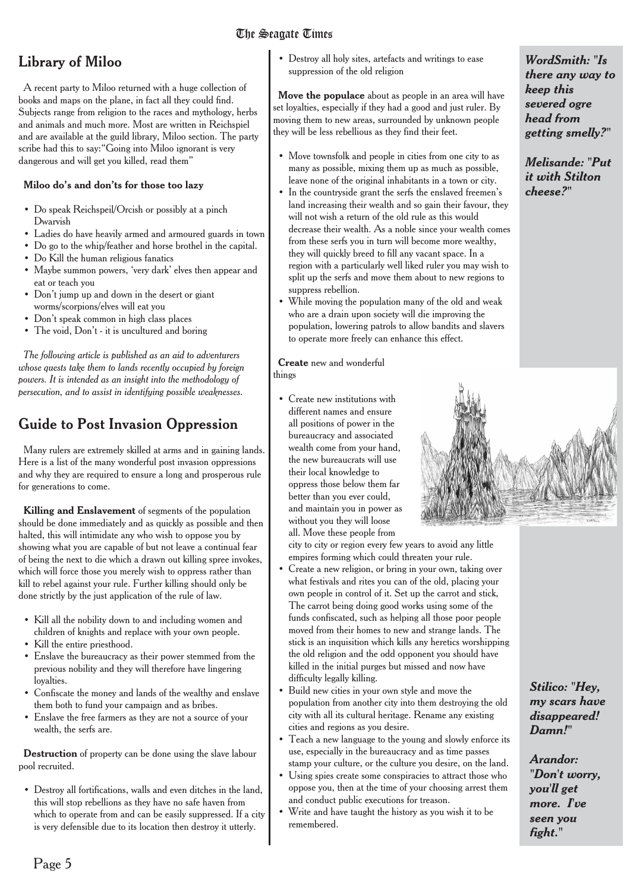### The Seagate Times

### Library of Miloo

A recent party to Miloo returned with a huge collection of books and maps on the plane, in fact all they could find. Subjects range from religion to the races and mythology, herbs and animals and much more. Most are written in Reichspiel and are available at the guild library, Miloo section. The party scribe had this to say:"Going into Miloo ignorant is very dangerous and will get you killed, read them"

#### **Miloo do's and don'ts for those too lazy**

- Do speak Reichspeil/Orcish or possibly at a pinch Dwarvish
- Ladies do have heavily armed and armoured guards in town
- Do go to the whip/feather and horse brothel in the capital.
- Do Kill the human religious fanatics
- Maybe summon powers, 'very dark' elves then appear and eat or teach you
- Don't jump up and down in the desert or giant worms/scorpions/elves will eat you
- Don't speak common in high class places
- The void, Don't it is uncultured and boring

*The following article is published as an aid to adventurers whose quests take them to lands recently occupied by foreign powers. It is intended as an insight into the methodology of persecution, and to assist in identifying possible weaknesses.*

### Guide to Post Invasion Oppression

Many rulers are extremely skilled at arms and in gaining lands. Here is a list of the many wonderful post invasion oppressions and why they are required to ensure a long and prosperous rule for generations to come.

**Killing and Enslavement** of segments of the population should be done immediately and as quickly as possible and then halted, this will intimidate any who wish to oppose you by showing what you are capable of but not leave a continual fear of being the next to die which a drawn out killing spree invokes, which will force those you merely wish to oppress rather than kill to rebel against your rule. Further killing should only be done strictly by the just application of the rule of law.

- Kill all the nobility down to and including women and children of knights and replace with your own people.
- Kill the entire priesthood.
- Enslave the bureaucracy as their power stemmed from the previous nobility and they will therefore have lingering loyalties.
- Confiscate the money and lands of the wealthy and enslave them both to fund your campaign and as bribes.
- Enslave the free farmers as they are not a source of your wealth, the serfs are.

**Destruction** of property can be done using the slave labour pool recruited.

• Destroy all fortifications, walls and even ditches in the land, this will stop rebellions as they have no safe haven from which to operate from and can be easily suppressed. If a city is very defensible due to its location then destroy it utterly.

• Destroy all holy sites, artefacts and writings to ease suppression of the old religion

**Move the populace** about as people in an area will have set loyalties, especially if they had a good and just ruler. By moving them to new areas, surrounded by unknown people they will be less rebellious as they find their feet.

- Move townsfolk and people in cities from one city to as many as possible, mixing them up as much as possible, leave none of the original inhabitants in a town or city.
- In the countryside grant the serfs the enslaved freemen's land increasing their wealth and so gain their favour, they will not wish a return of the old rule as this would decrease their wealth. As a noble since your wealth comes from these serfs you in turn will become more wealthy, they will quickly breed to fill any vacant space. In a region with a particularly well liked ruler you may wish to split up the serfs and move them about to new regions to suppress rebellion.
- While moving the population many of the old and weak who are a drain upon society will die improving the population, lowering patrols to allow bandits and slavers to operate more freely can enhance this effect.

**Create** new and wonderful things

• Create new institutions with different names and ensure all positions of power in the bureaucracy and associated wealth come from your hand, the new bureaucrats will use their local knowledge to oppress those below them far better than you ever could, and maintain you in power as without you they will loose all. Move these people from

city to city or region every few years to avoid any little empires forming which could threaten your rule.

- Create a new religion, or bring in your own, taking over what festivals and rites you can of the old, placing your own people in control of it. Set up the carrot and stick, The carrot being doing good works using some of the funds confiscated, such as helping all those poor people moved from their homes to new and strange lands. The stick is an inquisition which kills any heretics worshipping the old religion and the odd opponent you should have killed in the initial purges but missed and now have difficulty legally killing.
- Build new cities in your own style and move the population from another city into them destroying the old city with all its cultural heritage. Rename any existing cities and regions as you desire.
- Teach a new language to the young and slowly enforce its use, especially in the bureaucracy and as time passes stamp your culture, or the culture you desire, on the land.
- Using spies create some conspiracies to attract those who oppose you, then at the time of your choosing arrest them and conduct public executions for treason.
- Write and have taught the history as you wish it to be remembered.

*WordSmith: "Is there any way to keep this severed ogre head from getting smelly?"*

*Melisande: "Put it with Stilton cheese?"*



*Stilico: "Hey, my scars have disappeared! Damn!"*

*Arandor: "Don't worry, you'll get more. I've seen you fight."*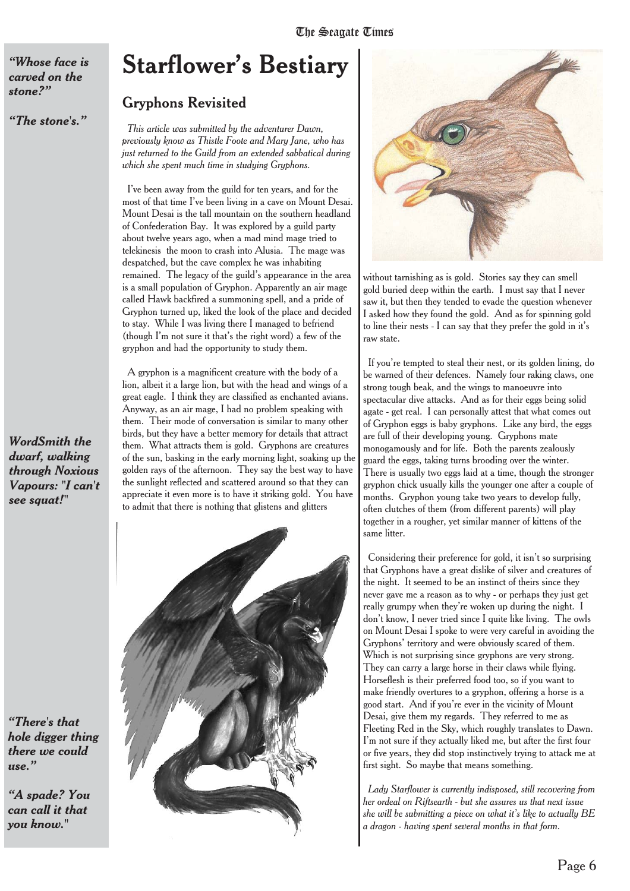*"Whose face is carved on the stone?"*

*"The stone's."*

### **Starflower's Bestiary**

### Gryphons Revisited

*This article was submitted by the adventurer Dawn, previously know as Thistle Foote and Mary Jane, who has just returned to the Guild from an extended sabbatical during which she spent much time in studying Gryphons.*

I've been away from the guild for ten years, and for the most of that time I've been living in a cave on Mount Desai. Mount Desai is the tall mountain on the southern headland of Confederation Bay. It was explored by a guild party about twelve years ago, when a mad mind mage tried to telekinesis the moon to crash into Alusia. The mage was despatched, but the cave complex he was inhabiting remained. The legacy of the guild's appearance in the area is a small population of Gryphon. Apparently an air mage called Hawk backfired a summoning spell, and a pride of Gryphon turned up, liked the look of the place and decided to stay. While I was living there I managed to befriend (though I'm not sure it that's the right word) a few of the gryphon and had the opportunity to study them.

A gryphon is a magnificent creature with the body of a lion, albeit it a large lion, but with the head and wings of a great eagle. I think they are classified as enchanted avians. Anyway, as an air mage, I had no problem speaking with them. Their mode of conversation is similar to many other birds, but they have a better memory for details that attract them. What attracts them is gold. Gryphons are creatures of the sun, basking in the early morning light, soaking up the golden rays of the afternoon. They say the best way to have the sunlight reflected and scattered around so that they can appreciate it even more is to have it striking gold. You have to admit that there is nothing that glistens and glitters



*WordSmith the dwarf, walking through Noxious Vapours: "I can't*

*see squat!"*

*"A spade? You can call it that you know."*





without tarnishing as is gold. Stories say they can smell gold buried deep within the earth. I must say that I never saw it, but then they tended to evade the question whenever I asked how they found the gold. And as for spinning gold to line their nests - I can say that they prefer the gold in it's raw state.

If you're tempted to steal their nest, or its golden lining, do be warned of their defences. Namely four raking claws, one strong tough beak, and the wings to manoeuvre into spectacular dive attacks. And as for their eggs being solid agate - get real. I can personally attest that what comes out of Gryphon eggs is baby gryphons. Like any bird, the eggs are full of their developing young. Gryphons mate monogamously and for life. Both the parents zealously guard the eggs, taking turns brooding over the winter. There is usually two eggs laid at a time, though the stronger gryphon chick usually kills the younger one after a couple of months. Gryphon young take two years to develop fully, often clutches of them (from different parents) will play together in a rougher, yet similar manner of kittens of the same litter.

Considering their preference for gold, it isn't so surprising that Gryphons have a great dislike of silver and creatures of the night. It seemed to be an instinct of theirs since they never gave me a reason as to why - or perhaps they just get really grumpy when they're woken up during the night. I don't know, I never tried since I quite like living. The owls on Mount Desai I spoke to were very careful in avoiding the Gryphons' territory and were obviously scared of them. Which is not surprising since gryphons are very strong. They can carry a large horse in their claws while flying. Horseflesh is their preferred food too, so if you want to make friendly overtures to a gryphon, offering a horse is a good start. And if you're ever in the vicinity of Mount Desai, give them my regards. They referred to me as Fleeting Red in the Sky, which roughly translates to Dawn. I'm not sure if they actually liked me, but after the first four or five years, they did stop instinctively trying to attack me at first sight. So maybe that means something.

*Lady Starflower is currently indisposed, still recovering from her ordeal on Riftsearth - but she assures us that next issue she will be submitting a piece on what it's like to actually BE a dragon - having spent several months in that form.*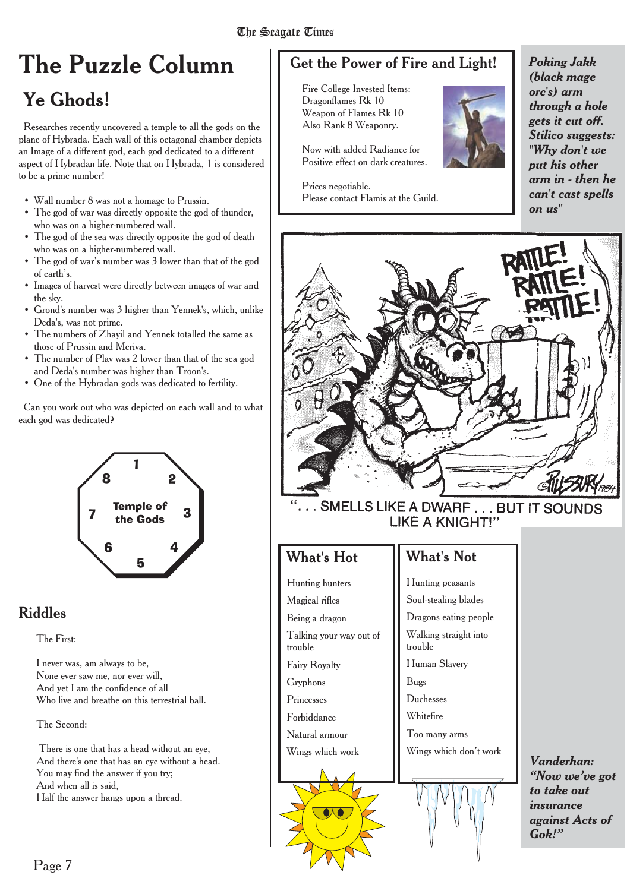#### The Seagate Times The Seagan Times Times Times Times Times Times Times Times Times Times Times Times Times Times Times Times Tim<br>Times Times Times Times Times Times Times Times Times Times Times Times Times Times Times Times Times Times Ti

### **The Puzzle Column**

### **Ye Ghods!**

Researches recently uncovered a temple to all the gods on the plane of Hybrada. Each wall of this octagonal chamber depicts an Image of a different god, each god dedicated to a different aspect of Hybradan life. Note that on Hybrada, 1 is considered to be a prime number!

- Wall number 8 was not a homage to Prussin.
- The god of war was directly opposite the god of thunder, who was on a higher-numbered wall.
- The god of the sea was directly opposite the god of death who was on a higher-numbered wall.
- The god of war's number was 3 lower than that of the god of earth's.
- Images of harvest were directly between images of war and the sky.
- Grond's number was 3 higher than Yennek's, which, unlike Deda's, was not prime.
- The numbers of Zhayil and Yennek totalled the same as those of Prussin and Meriva.
- The number of Plav was 2 lower than that of the sea god and Deda's number was higher than Troon's.
- One of the Hybradan gods was dedicated to fertility.

Can you work out who was depicted on each wall and to what each god was dedicated?



### Riddles

The First:

I never was, am always to be, None ever saw me, nor ever will, And yet I am the confidence of all Who live and breathe on this terrestrial ball.

The Second:

There is one that has a head without an eye. And there's one that has an eye without a head. You may find the answer if you try; And when all is said, Half the answer hangs upon a thread.

### Get the Power of Fire and Light!

Fire College Invested Items: Dragonflames Rk 10 Weapon of Flames Rk 10 Also Rank 8 Weaponry.

Now with added Radiance for Positive effect on dark creatures.

Prices negotiable. Please contact Flamis at the Guild.



*Poking Jakk (black mage orc's) arm through a hole gets it cut off. Stilico suggests: "Why don't we put his other arm in - then he can't cast spells on us"*



### What's Hot

Hunting hunters Magical rifles Being a dragon Talking your way out of trouble Fairy Royalty Gryphons Princesses Forbiddance Natural armour Wings which work

### What's Not

Hunting peasants Soul-stealing blades Dragons eating people Walking straight into trouble Human Slavery Bugs Duchesses Whitefire Too many arms Wings which don't work

*Vanderhan: "Now we've got to take out insurance against Acts of Gok!"*